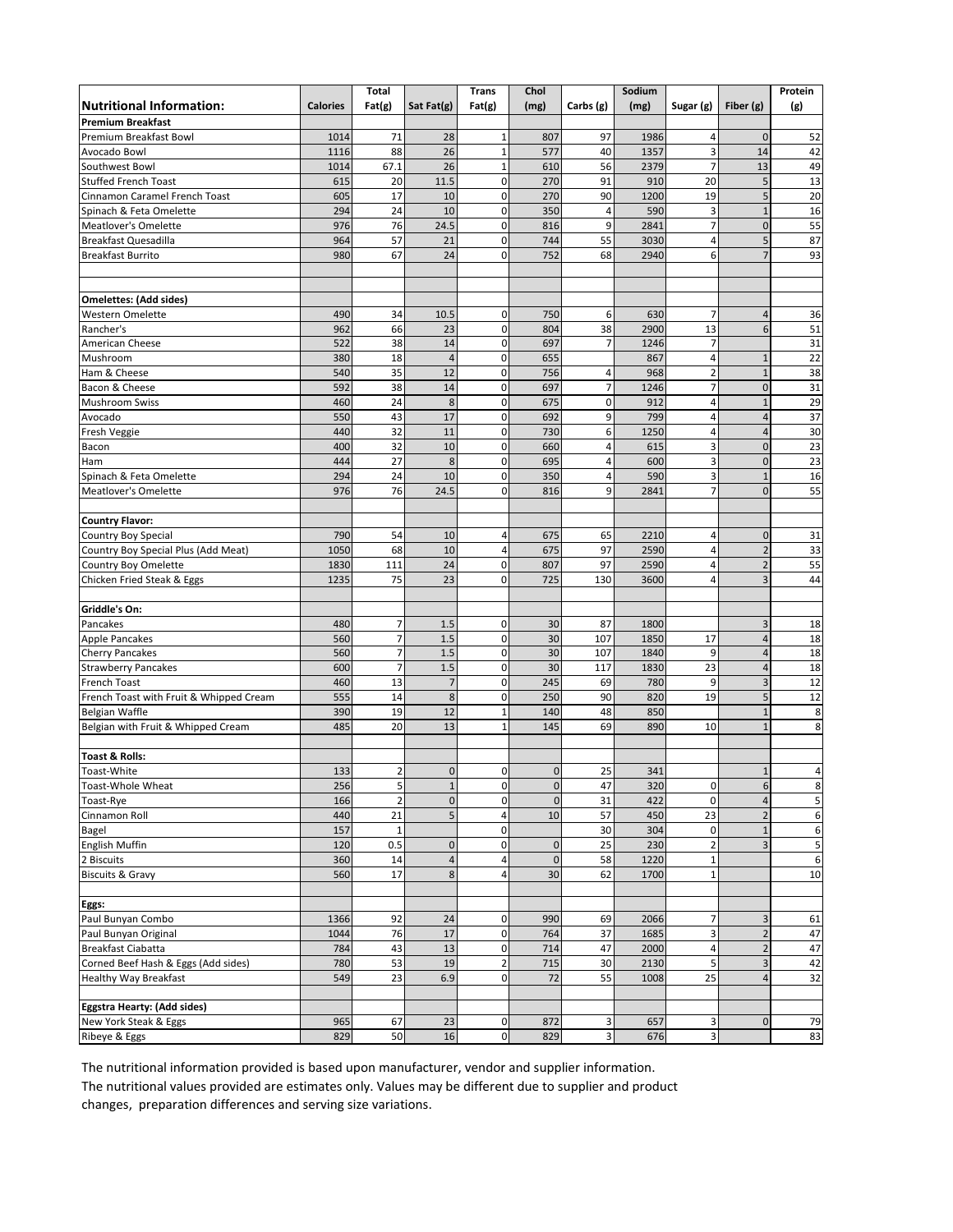|                                         |                 | Total               |                             | <b>Trans</b>               | Chol                       |                | Sodium     |                             |                              | Protein             |
|-----------------------------------------|-----------------|---------------------|-----------------------------|----------------------------|----------------------------|----------------|------------|-----------------------------|------------------------------|---------------------|
| <b>Nutritional Information:</b>         | <b>Calories</b> | Fat(g)              | Sat Fat(g)                  | Fat(g)                     | (mg)                       | Carbs (g)      | (mg)       | Sugar (g)                   | Fiber (g)                    | (g)                 |
| <b>Premium Breakfast</b>                |                 |                     |                             |                            |                            |                |            |                             |                              |                     |
| Premium Breakfast Bowl                  | 1014            | 71                  | 28                          | 1                          | 807                        | 97             | 1986       | 4                           | $\mathbf 0$                  | 52                  |
| Avocado Bowl                            | 1116            | 88                  | 26                          | $\mathbf{1}$               | 577                        | 40             | 1357       | 3                           | 14                           | 42                  |
| Southwest Bowl                          | 1014            | 67.1                | 26                          | $\mathbf 1$                | 610                        | 56             | 2379       | $\overline{7}$              | 13                           | 49                  |
| <b>Stuffed French Toast</b>             | 615             | 20                  | 11.5                        | 0                          | 270                        | 91             | 910        | 20                          | 5                            | 13                  |
| <b>Cinnamon Caramel French Toast</b>    | 605             | 17                  | 10                          | $\mathbf 0$                | 270                        | 90             | 1200       | 19                          | 5                            | 20                  |
| Spinach & Feta Omelette                 | 294             | 24                  | 10                          | $\mathbf 0$                | 350                        | $\overline{4}$ | 590        | 3                           | $\mathbf{1}$                 | 16                  |
| <b>Meatlover's Omelette</b>             | 976             | 76                  | 24.5                        | $\mathbf 0$                | 816                        | 9              | 2841       | 7                           | $\mathbf 0$                  | 55                  |
| <b>Breakfast Quesadilla</b>             | 964             | 57                  | 21                          | $\mathbf 0$                | 744                        | 55             | 3030       | 4                           | 5                            | 87                  |
| <b>Breakfast Burrito</b>                | 980             | 67                  | 24                          | $\mathbf 0$                | 752                        | 68             | 2940       | 6                           | $\overline{7}$               | 93                  |
|                                         |                 |                     |                             |                            |                            |                |            |                             |                              |                     |
| <b>Omelettes: (Add sides)</b>           |                 |                     |                             |                            |                            |                |            |                             |                              |                     |
| Western Omelette                        | 490             | 34                  | 10.5                        | $\pmb{0}$                  | 750                        | 6              | 630        | $\overline{7}$              | $\overline{4}$               | 36                  |
| Rancher's                               | 962             | 66                  | 23                          | $\mathbf 0$                | 804                        | 38             | 2900       | 13                          | 6                            | 51                  |
| American Cheese                         | 522             | 38                  | 14                          | $\mathbf 0$                | 697                        | $\overline{7}$ | 1246       | $\overline{7}$              |                              | 31                  |
| Mushroom                                | 380             | 18                  | $\overline{4}$              | $\mathbf 0$                | 655                        |                | 867        | 4                           | $\mathbf{1}$                 | 22                  |
| Ham & Cheese                            | 540             | 35                  | 12                          | $\mathbf 0$                | 756                        | 4              | 968        | $\overline{2}$              | $\mathbf{1}$                 | 38                  |
| Bacon & Cheese                          | 592             | 38                  | 14                          | $\mathbf 0$                | 697                        | $\overline{7}$ | 1246       | $\overline{7}$              | $\overline{0}$               | 31                  |
| Mushroom Swiss                          | 460             | 24                  | 8                           | $\mathbf 0$                | 675                        | $\mathbf 0$    | 912        | $\overline{4}$              | $\mathbf{1}$                 | 29                  |
| Avocado                                 | 550             | 43                  | 17                          | $\mathbf 0$                | 692                        | 9              | 799        | $\overline{4}$              | $\overline{4}$               | 37                  |
| Fresh Veggie                            | 440             | 32                  | 11                          | $\mathbf 0$                | 730                        | 6              | 1250       | $\overline{4}$              | $\overline{4}$               | 30                  |
| Bacon                                   | 400             | 32                  | 10                          | $\pmb{0}$                  | 660                        | 4              | 615        | 3                           | $\mathbf 0$                  | 23                  |
| Ham                                     | 444             | 27                  | 8                           | $\mathbf 0$                | 695                        | $\overline{4}$ | 600        | 3                           | $\mathbf 0$                  | 23                  |
| Spinach & Feta Omelette                 | 294             | 24                  | 10                          | $\mathbf 0$                | 350                        | 4              | 590        | 3                           | $\mathbf{1}$                 | 16                  |
| Meatlover's Omelette                    | 976             | 76                  | 24.5                        | $\overline{0}$             | 816                        | 9              | 2841       | $\overline{7}$              | $\mathbf{0}$                 | 55                  |
|                                         |                 |                     |                             |                            |                            |                |            |                             |                              |                     |
| <b>Country Flavor:</b>                  |                 |                     |                             |                            |                            |                |            |                             |                              |                     |
| <b>Country Boy Special</b>              | 790             | 54                  | 10                          | 4                          | 675                        | 65             | 2210       | 4                           | $\mathbf 0$                  | 31                  |
| Country Boy Special Plus (Add Meat)     | 1050            | 68                  | 10                          | 4                          | 675                        | 97             | 2590       | 4                           | $\overline{2}$               | 33                  |
| Country Boy Omelette                    | 1830            | 111                 | 24                          | $\mathbf 0$                | 807                        | 97             | 2590       | $\overline{4}$              | $\overline{2}$               | 55                  |
| Chicken Fried Steak & Eggs              | 1235            | 75                  | 23                          | $\mathbf 0$                | 725                        | 130            | 3600       | 4                           | 3                            | 44                  |
| Griddle's On:                           |                 |                     |                             |                            |                            |                |            |                             |                              |                     |
| Pancakes                                | 480             | 7                   | 1.5                         | $\mathbf 0$                | 30                         | 87             | 1800       |                             | 3                            | 18                  |
| <b>Apple Pancakes</b>                   | 560             | $\overline{7}$      | 1.5                         | $\mathbf 0$                | 30                         | 107            | 1850       | 17                          | $\sqrt{4}$                   | 18                  |
| <b>Cherry Pancakes</b>                  | 560             | $\overline{7}$      | 1.5                         | $\mathbf 0$                | 30                         | 107            | 1840       | 9                           | $\overline{4}$               | 18                  |
| <b>Strawberry Pancakes</b>              | 600             | $\overline{7}$      | 1.5                         | $\mathbf 0$                | 30                         | 117            | 1830       | 23                          | $\overline{4}$               | 18                  |
| French Toast                            | 460             | 13                  | $\overline{7}$              | $\mathbf 0$                | 245                        | 69             | 780        | 9                           | 3                            | 12                  |
| French Toast with Fruit & Whipped Cream | 555             | 14                  | 8                           | $\mathbf 0$                | 250                        | 90             | 820        | 19                          | 5                            | 12                  |
| Belgian Waffle                          | 390             | 19                  | 12                          | $\mathbf{1}$               | 140                        | 48             | 850        |                             | $\mathbf{1}$                 | 8                   |
| Belgian with Fruit & Whipped Cream      | 485             | 20                  | 13                          | 1                          | 145                        | 69             | 890        | 10                          | $\mathbf{1}$                 | 8                   |
| Toast & Rolls:                          |                 |                     |                             |                            |                            |                |            |                             |                              |                     |
|                                         | 133             | 2                   | $\mathbf{0}$                | 0                          | $\mathbf 0$                | 25             | 341        |                             | $\mathbf{1}$                 |                     |
| Toast-White                             |                 |                     |                             |                            |                            |                |            |                             |                              | 4                   |
| Toast-Whole Wheat                       | 256<br>166      | 5<br>$\overline{2}$ | $\mathbf{1}$<br>$\mathbf 0$ | $\mathbf 0$<br>$\mathbf 0$ | $\mathbf 0$<br>$\mathbf 0$ | 47             | 320<br>422 | $\overline{0}$<br>$\pmb{0}$ | 6<br>$\overline{\mathbf{4}}$ | 8                   |
| Toast-Rye<br>Cinnamon Roll              | 440             | 21                  | 5 <sup>1</sup>              | 4                          | 10                         | 31<br>57       | 450        | 23                          | $\overline{2}$               | 5                   |
| Bagel                                   | 157             | $\mathbf 1$         |                             | $\mathbf 0$                |                            | 30             | 304        | $\pmb{0}$                   | $\mathbf{1}$                 | 6<br>$\overline{6}$ |
| English Muffin                          | 120             | 0.5                 | $\pmb{0}$                   | $\mathbf 0$                | $\mathbf{0}$               | 25             | 230        | $\overline{2}$              | $\overline{\mathbf{3}}$      | 5                   |
| 2 Biscuits                              | 360             | 14                  | $\overline{4}$              | $\overline{4}$             | $\mathbf{0}$               | 58             | 1220       | $\mathbf 1$                 |                              | 6                   |
| <b>Biscuits &amp; Gravy</b>             | 560             | 17                  | 8                           | $\overline{\mathbf{4}}$    | 30                         | 62             | 1700       | $\mathbf 1$                 |                              | 10                  |
|                                         |                 |                     |                             |                            |                            |                |            |                             |                              |                     |
| Eggs:                                   |                 |                     |                             |                            |                            |                |            |                             |                              |                     |
| Paul Bunyan Combo                       | 1366            | 92                  | 24                          | $\pmb{0}$                  | 990                        | 69             | 2066       | $\overline{7}$              | 3                            | 61                  |
| Paul Bunyan Original                    | 1044            | 76                  | 17                          | $\pmb{0}$                  | 764                        | 37             | 1685       | 3                           | $\overline{2}$               | 47                  |
| Breakfast Ciabatta                      | 784             | 43                  | 13                          | $\pmb{0}$                  | 714                        | 47             | 2000       | $\sqrt{4}$                  | $\mathbf 2$                  | 47                  |
| Corned Beef Hash & Eggs (Add sides)     | 780             | 53                  | 19                          | $\overline{\mathbf{c}}$    | 715                        | 30             | 2130       | 5                           | $\mathsf 3$                  | 42                  |
| <b>Healthy Way Breakfast</b>            | 549             | 23                  | 6.9                         | $\mathbf 0$                | 72                         | 55             | 1008       | 25                          | $\overline{4}$               | 32                  |
| Eggstra Hearty: (Add sides)             |                 |                     |                             |                            |                            |                |            |                             |                              |                     |
| New York Steak & Eggs                   | 965             | 67                  | 23                          | $\pmb{0}$                  | 872                        | 3              | 657        | 3                           | $\mathbf 0$                  | 79                  |
| Ribeye & Eggs                           | 829             | 50                  | 16                          | $\mathbf 0$                | 829                        | 3              | 676        | 3                           |                              | 83                  |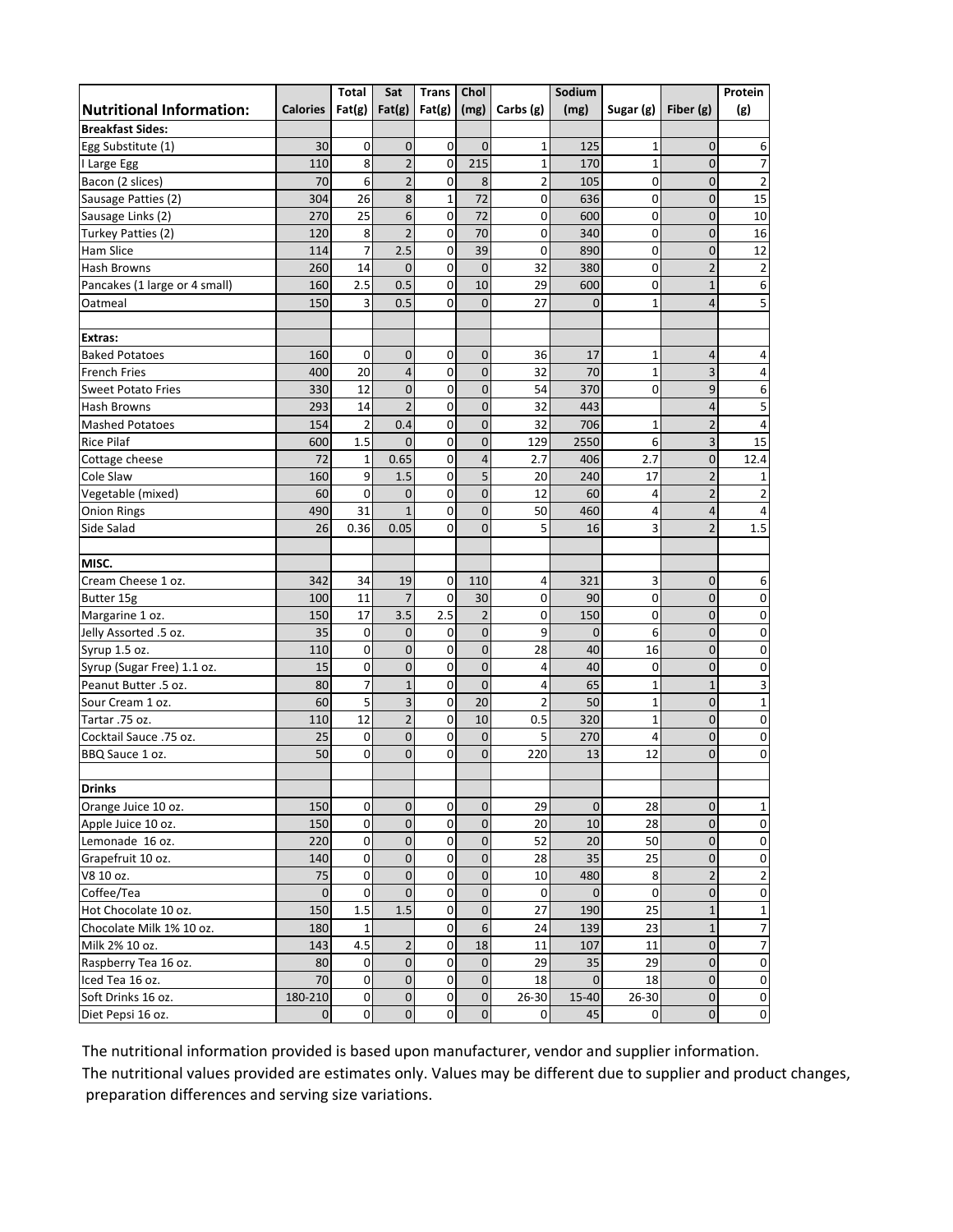|                                 |                     | Total          | Sat            | <b>Trans</b>   | Chol           |                | Sodium         |                |                | Protein        |
|---------------------------------|---------------------|----------------|----------------|----------------|----------------|----------------|----------------|----------------|----------------|----------------|
| <b>Nutritional Information:</b> | Calories   $Fat(g)$ |                | Fat(g)         | Fat(g)         | (mg)           | Carbs $(g)$    | (mg)           | Sugar (g)      | Fiber (g)      | (g)            |
| <b>Breakfast Sides:</b>         |                     |                |                |                |                |                |                |                |                |                |
| Egg Substitute (1)              | 30                  | $\mathbf 0$    | $\mathbf 0$    | $\mathbf 0$    | $\mathbf 0$    | $\mathbf{1}$   | 125            | $\mathbf{1}$   | $\mathbf 0$    | 6              |
| I Large Egg                     | 110                 | 8              | $\mathbf 2$    | $\mathbf 0$    | 215            | $\mathbf{1}$   | 170            | $\mathbf{1}$   | $\overline{0}$ | 7              |
| Bacon (2 slices)                | 70                  | 6              | $\overline{2}$ | $\mathbf 0$    | 8              | $\mathbf 2$    | 105            | 0              | $\mathbf 0$    | $\overline{2}$ |
| Sausage Patties (2)             | 304                 | 26             | 8              | $\mathbf{1}$   | 72             | $\mathbf 0$    | 636            | $\mathbf 0$    | $\mathbf 0$    | 15             |
| Sausage Links (2)               | 270                 | 25             | 6              | 0              | 72             | 0              | 600            | 0              | 0              | 10             |
| Turkey Patties (2)              | 120                 | 8              | $\overline{2}$ | $\mathbf 0$    | 70             | 0              | 340            | 0              | $\mathbf 0$    | 16             |
| <b>Ham Slice</b>                | 114                 | $\overline{7}$ | 2.5            | 0              | 39             | $\mathbf 0$    | 890            | $\pmb{0}$      | $\mathbf 0$    | 12             |
| Hash Browns                     | 260                 | 14             | $\overline{0}$ | $\mathbf 0$    | $\overline{0}$ | 32             | 380            | $\mathbf 0$    | $\overline{2}$ | $\overline{2}$ |
| Pancakes (1 large or 4 small)   | 160                 | 2.5            | 0.5            | 0              | 10             | 29             | 600            | $\mathbf 0$    | $\mathbf{1}$   | 6              |
| Oatmeal                         | 150                 | 3              | 0.5            | $\mathbf 0$    | $\mathbf 0$    | 27             | $\overline{0}$ | $\mathbf{1}$   | $\overline{4}$ | 5              |
|                                 |                     |                |                |                |                |                |                |                |                |                |
| <b>Extras:</b>                  |                     |                |                |                |                |                |                |                |                |                |
| <b>Baked Potatoes</b>           | 160                 | 0              | $\mathbf 0$    | 0              | $\mathbf 0$    | 36             | 17             | 1              | 4              | 4              |
| <b>French Fries</b>             | 400                 | 20             | $\overline{4}$ | 0              | $\mathbf 0$    | 32             | 70             | $\mathbf{1}$   | 3              | 4              |
| <b>Sweet Potato Fries</b>       | 330                 | 12             | $\overline{0}$ | $\mathbf 0$    | $\mathbf 0$    | 54             | 370            | $\overline{0}$ | 9              | 6              |
| Hash Browns                     | 293                 | 14             | $\overline{2}$ | 0              | $\mathbf 0$    | 32             | 443            |                | 4              | 5              |
| <b>Mashed Potatoes</b>          | 154                 | $\overline{2}$ | 0.4            | 0              | $\mathbf 0$    | 32             | 706            | $\mathbf{1}$   | $\overline{2}$ | 4              |
| <b>Rice Pilaf</b>               | 600                 | 1.5            | $\overline{0}$ | $\mathbf 0$    | $\overline{0}$ | 129            | 2550           | 6              | 3              | 15             |
| Cottage cheese                  | 72                  | $\mathbf 1$    | 0.65           | 0              | $\overline{4}$ | 2.7            | 406            | 2.7            | $\mathbf 0$    | 12.4           |
| Cole Slaw                       | 160                 | 9              | 1.5            | $\mathbf 0$    | 5              | 20             | 240            | 17             | $\overline{2}$ | 1              |
| Vegetable (mixed)               | 60                  | 0              | $\mathbf 0$    | 0              | $\mathbf 0$    | 12             | 60             | 4              | $\overline{2}$ | $\overline{2}$ |
| <b>Onion Rings</b>              | 490                 | 31             | $\mathbf{1}$   | $\mathbf 0$    | $\overline{0}$ | 50             | 460            | $\overline{4}$ | $\overline{4}$ | 4              |
| Side Salad                      | 26                  | 0.36           | 0.05           | 0              | $\overline{0}$ | 5              | 16             | 3              | $\overline{2}$ | 1.5            |
|                                 |                     |                |                |                |                |                |                |                |                |                |
| MISC.                           |                     |                |                |                |                |                |                |                |                |                |
| Cream Cheese 1 oz.              | 342                 | 34             | 19             | 0              | 110            | 4              | 321            | 3              | 0              | 6              |
| Butter 15g                      | 100                 | 11             | $\overline{7}$ | 0              | 30             | 0              | 90             | 0              | $\mathbf 0$    | 0              |
| Margarine 1 oz.                 | 150                 | 17             | 3.5            | 2.5            | $\overline{2}$ | $\mathbf 0$    | 150            | $\mathbf 0$    | $\mathbf 0$    | $\mathbf 0$    |
| Jelly Assorted .5 oz.           | 35                  | $\mathbf 0$    | $\mathbf{0}$   | $\mathbf 0$    | $\overline{0}$ | 9              | $\mathbf{0}$   | 6              | $\overline{0}$ | $\mathbf 0$    |
| Syrup 1.5 oz.                   | 110                 | 0              | $\mathbf 0$    | $\mathbf 0$    | $\mathbf 0$    | 28             | 40             | 16             | $\mathbf 0$    | $\mathbf 0$    |
| Syrup (Sugar Free) 1.1 oz.      | 15                  | 0              | $\overline{0}$ | $\overline{0}$ | $\mathbf 0$    | 4              | 40             | $\mathbf 0$    | $\mathbf 0$    | $\mathbf 0$    |
| Peanut Butter .5 oz.            | 80                  | $\overline{7}$ | $\mathbf 1$    | $\mathbf 0$    | $\mathbf{0}$   | 4              | 65             | $\mathbf{1}$   | $\mathbf 1$    | 3              |
| Sour Cream 1 oz.                | 60                  | 5              | 3              | $\overline{0}$ | 20             | $\overline{2}$ | 50             | $\mathbf{1}$   | $\mathbf 0$    | 1              |
| Tartar .75 oz.                  | 110                 | 12             | $\overline{2}$ | $\mathbf 0$    | 10             | 0.5            | 320            | $\mathbf{1}$   | 0              | 0              |
| Cocktail Sauce .75 oz.          | 25                  | 0              | $\mathbf 0$    | 0              | $\mathbf 0$    | 5              | 270            | 4              | $\mathbf 0$    | 0              |
| BBQ Sauce 1 oz.                 | 50                  | $\overline{0}$ | $\overline{0}$ | $\overline{0}$ | $\mathbf 0$    | 220            | 13             | 12             | $\overline{0}$ | $\mathbf 0$    |
|                                 |                     |                |                |                |                |                |                |                |                |                |
| <b>Drinks</b>                   |                     |                |                |                |                |                |                |                |                |                |
| Orange Juice 10 oz.             | 150                 | $\mathbf 0$    | $\mathbf{0}$   | 0              | $\overline{0}$ | 29             | $\mathbf 0$    | 28             | $\mathbf 0$    | 1              |
| Apple Juice 10 oz.              | 150                 | $\mathbf 0$    | $\mathbf 0$    | 0              | $\mathbf{0}$   | 20             | $10\,$         | 28             | $\mathbf 0$    | 0              |
| Lemonade 16 oz.                 | 220                 | 0              | $\overline{0}$ | 0              | $\mathbf 0$    | 52             | 20             | 50             | $\bf{0}$       | 0              |
| Grapefruit 10 oz.               | 140                 | $\mathbf 0$    | $\overline{0}$ | 0              | $\mathbf 0$    | 28             | 35             | 25             | $\pmb{0}$      | 0              |
| V8 10 oz.                       | 75                  | $\mathbf 0$    | 0              | 0              | $\mathbf 0$    | 10             | 480            | 8              | $\overline{2}$ | 2              |
| Coffee/Tea                      | $\mathbf{0}$        | $\mathbf 0$    | $\overline{0}$ | 0              | $\mathbf 0$    | 0              | $\mathbf 0$    | $\mathbf 0$    | $\mathbf 0$    | $\mathbf 0$    |
| Hot Chocolate 10 oz.            | 150                 | 1.5            | 1.5            | 0              | $\mathbf 0$    | 27             | 190            | 25             | $\mathbf{1}$   | 1              |
| Chocolate Milk 1% 10 oz.        | 180                 | $\mathbf{1}$   |                | 0              | 6              | 24             | 139            | 23             | $\mathbf 1$    | 7              |
| Milk 2% 10 oz.                  | 143                 | 4.5            | $\overline{2}$ | $\mathbf 0$    | 18             | 11             | 107            | 11             | $\mathbf 0$    | 7              |
| Raspberry Tea 16 oz.            | 80                  | 0              | 0              | 0              | $\mathbf 0$    | 29             | 35             | 29             | $\pmb{0}$      | 0              |
| Iced Tea 16 oz.                 | 70                  | 0              | $\mathbf 0$    | 0              | $\mathbf 0$    | 18             | $\mathbf 0$    | 18             | $\pmb{0}$      | $\mathbf 0$    |
| Soft Drinks 16 oz.              | 180-210             | $\mathbf 0$    | $\overline{0}$ | $\mathbf 0$    | $\overline{0}$ | 26-30          | 15-40          | 26-30          | $\pmb{0}$      | $\pmb{0}$      |
| Diet Pepsi 16 oz.               | $\mathbf{0}$        | $\mathbf 0$    | $\overline{0}$ | $\mathbf 0$    | $\pmb{0}$      | 0              | 45             | 0              | $\mathbf 0$    | $\mathbf 0$    |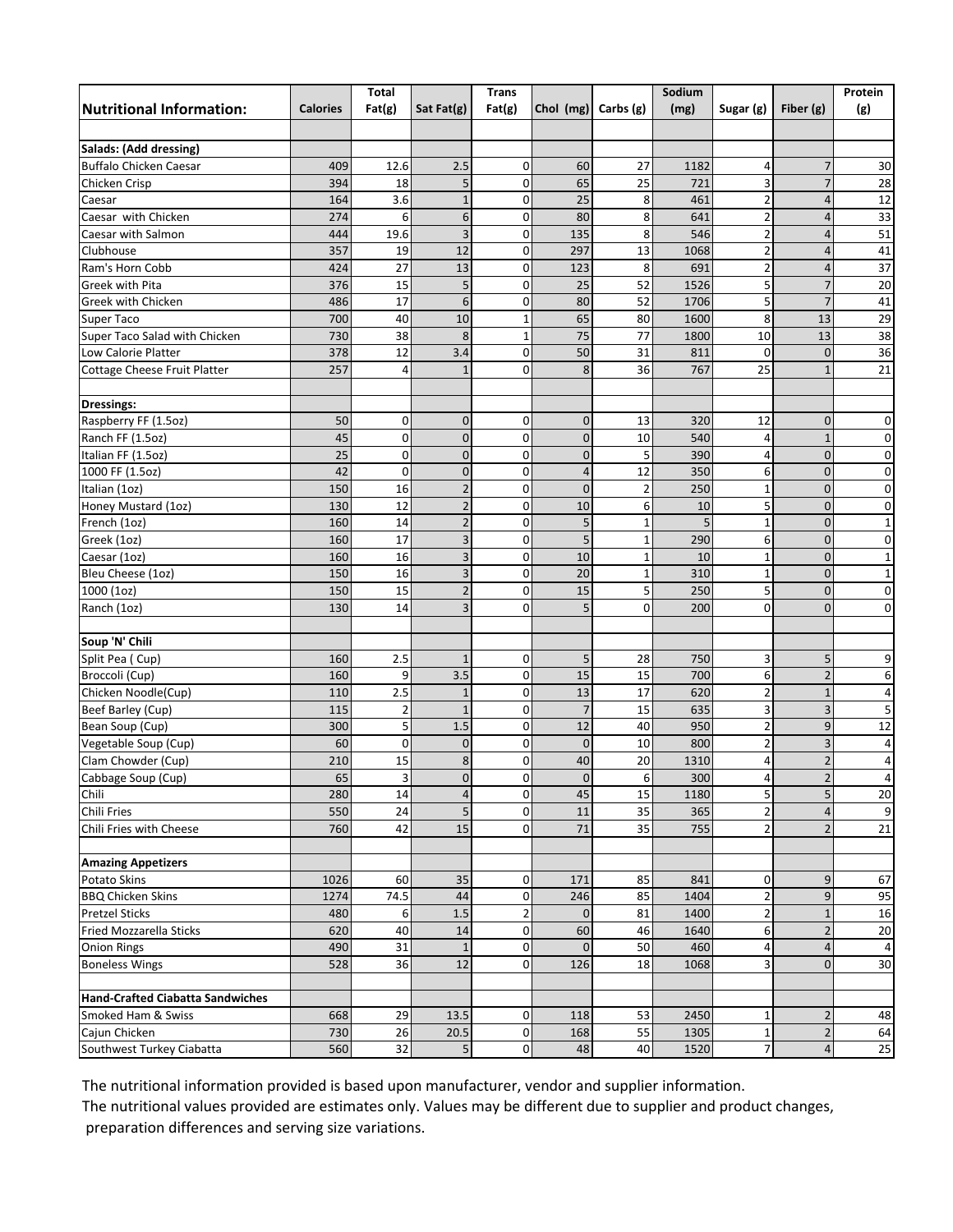|                                  |                 | Total          |                | <b>Trans</b>   |                |                | Sodium |                         |                         | Protein         |
|----------------------------------|-----------------|----------------|----------------|----------------|----------------|----------------|--------|-------------------------|-------------------------|-----------------|
| <b>Nutritional Information:</b>  | <b>Calories</b> | Fat(g)         | Sat Fat $(g)$  | Fat(g)         | Chol (mg)      | Carbs $(g)$    | (mg)   | Sugar (g)               | Fiber $(g)$             | (g)             |
|                                  |                 |                |                |                |                |                |        |                         |                         |                 |
| Salads: (Add dressing)           |                 |                |                |                |                |                |        |                         |                         |                 |
| <b>Buffalo Chicken Caesar</b>    | 409             | 12.6           | 2.5            | 0              | 60             | 27             | 1182   | 4                       | $\overline{7}$          | 30              |
| Chicken Crisp                    | 394             | 18             | 5              | $\mathbf 0$    | 65             | 25             | 721    | 3                       | $\overline{7}$          | 28              |
| Caesar                           | 164             | 3.6            | $1\,$          | $\pmb{0}$      | 25             | 8              | 461    | $\overline{2}$          | $\overline{4}$          | 12              |
| Caesar with Chicken              | 274             | 6              | 6              | $\pmb{0}$      | 80             | 8              | 641    | $\overline{2}$          | $\overline{4}$          | 33              |
| Caesar with Salmon               | 444             | 19.6           | $\overline{3}$ | $\mathbf 0$    | 135            | 8              | 546    | $\overline{\mathbf{c}}$ | $\overline{4}$          | 51              |
| Clubhouse                        | 357             | 19             | 12             | $\mathbf 0$    | 297            | 13             | 1068   | $\overline{\mathbf{c}}$ | $\overline{4}$          | 41              |
| Ram's Horn Cobb                  | 424             | 27             | 13             | $\mathbf 0$    | 123            | 8              | 691    | $\overline{2}$          | $\overline{4}$          | 37              |
| <b>Greek with Pita</b>           | 376             | 15             | 5              | $\pmb{0}$      | 25             | 52             | 1526   | 5                       | $\overline{7}$          | 20              |
| Greek with Chicken               | 486             | 17             | 6              | $\mathbf 0$    | 80             | 52             | 1706   | 5                       | $\overline{7}$          | 41              |
| Super Taco                       | 700             | 40             | 10             | 1              | 65             | 80             | 1600   | 8                       | 13                      | 29              |
| Super Taco Salad with Chicken    | 730             | 38             | 8              | $\mathbf{1}$   | 75             | 77             | 1800   | 10                      | 13                      | 38              |
| Low Calorie Platter              | 378             | 12             | 3.4            | $\mathbf 0$    | 50             | 31             | 811    | $\mathbf 0$             | $\overline{0}$          | 36              |
| Cottage Cheese Fruit Platter     | 257             | 4              | $\mathbf{1}$   | 0              | 8              | 36             | 767    | 25                      | $\mathbf{1}$            | 21              |
|                                  |                 |                |                |                |                |                |        |                         |                         |                 |
| <b>Dressings:</b>                |                 |                |                |                |                |                |        |                         |                         |                 |
| Raspberry FF (1.5oz)             | 50              | $\mathbf{0}$   | $\mathbf 0$    | $\mathbf 0$    | $\mathbf{0}$   | 13             | 320    | 12                      | $\mathbf{0}$            | 0               |
| Ranch FF (1.5oz)                 | 45              | $\mathbf 0$    | $\overline{0}$ | $\mathbf 0$    | $\mathbf 0$    | 10             | 540    | 4                       | $1\,$                   | $\mathbf 0$     |
| Italian FF (1.5oz)               | 25              | 0              | $\mathbf 0$    | $\pmb{0}$      | $\mathbf 0$    | 5              | 390    | 4                       | $\mathbf 0$             | $\mathbf 0$     |
| 1000 FF (1.5oz)                  | 42              | $\mathbf 0$    | $\mathbf 0$    | 0              | $\overline{4}$ | 12             | 350    | 6                       | $\overline{0}$          | $\mathbf 0$     |
| Italian (1oz)                    | 150             | 16             | $\overline{2}$ | $\mathbf 0$    | $\mathbf{0}$   | $\overline{2}$ | 250    | $\mathbf 1$             | $\mathbf 0$             | 0               |
| Honey Mustard (10z)              | 130             | 12             | $\overline{2}$ | $\mathbf 0$    | 10             | 6              | 10     | 5                       | $\overline{0}$          | $\mathbf 0$     |
| French (1oz)                     | 160             | 14             | $\mathbf 2$    | $\pmb{0}$      | 5              | $\mathbf{1}$   | 5      | $\mathbf{1}$            | $\mathbf 0$             | $\mathbf 1$     |
| Greek (1oz)                      | 160             | 17             | 3              | $\mathbf 0$    | 5              | $\mathbf{1}$   | 290    | 6                       | $\mathbf 0$             | $\mathbf 0$     |
| Caesar (1oz)                     | 160             | 16             | 3              | $\mathbf 0$    | 10             | $\mathbf{1}$   | 10     | $\mathbf 1$             | $\mathbf 0$             | $\mathbf 1$     |
| Bleu Cheese (10z)                | 150             | 16             | $\mathsf 3$    | $\mathbf 0$    | 20             | $\mathbf 1$    | 310    | $\mathbf 1$             | $\mathbf 0$             | $\mathbf 1$     |
| 1000 (1oz)                       | 150             | 15             | $\overline{2}$ | $\mathbf 0$    | 15             | 5              | 250    | 5                       | $\overline{0}$          | 0               |
| Ranch (1oz)                      | 130             | 14             | 3              | $\mathbf 0$    | 5              | 0              | 200    | 0                       | $\mathbf 0$             | 0               |
|                                  |                 |                |                |                |                |                |        |                         |                         |                 |
| Soup 'N' Chili                   |                 |                |                |                |                |                |        |                         |                         |                 |
| Split Pea (Cup)                  | 160             | 2.5            | $\mathbf{1}$   | $\pmb{0}$      | 5              | 28             | 750    | 3                       | 5                       | 9               |
| Broccoli (Cup)                   | 160             | 9              | 3.5            | $\mathbf 0$    | 15             | 15             | 700    | 6                       | $\overline{2}$          | 6               |
| Chicken Noodle(Cup)              | 110             | 2.5            | $1\,$          | $\mathbf 0$    | 13             | 17             | 620    | $\overline{\mathbf{c}}$ | $\mathbf{1}$            | 4               |
| Beef Barley (Cup)                | 115             | 2              | $\mathbf{1}$   | $\mathbf{0}$   | $\overline{7}$ | 15             | 635    | 3                       | 3                       | 5               |
| Bean Soup (Cup)                  | 300             | 5              | 1.5            | $\mathbf 0$    | 12             | 40             | 950    | $\overline{\mathbf{c}}$ | 9                       | 12              |
| Vegetable Soup (Cup)             | 60              | $\mathbf 0$    | $\mathbf 0$    | $\mathbf 0$    | $\overline{0}$ | 10             | 800    | $\overline{2}$          | 3                       | 4               |
| Clam Chowder (Cup)               | 210             | 15             | $\bf 8$        | 0              | 40             | 20             | 1310   | 4                       | $\overline{\mathbf{c}}$ | 4               |
| Cabbage Soup (Cup)               | 65              | $\overline{3}$ | $\overline{0}$ | $\Omega$       | $\overline{0}$ | 6              | 300    | $\overline{4}$          | $\overline{2}$          | 4               |
| Chili                            | 280             | 14             | 4              | 0              | 45             | 15             | 1180   | 5                       | 5                       | 20              |
| Chili Fries                      | 550             | 24             | 5              | $\mathbf 0$    | 11             | 35             | 365    | $\mathbf 2$             | $\overline{\mathbf{4}}$ | 9               |
| Chili Fries with Cheese          | 760             | 42             | 15             | 0              | 71             | 35             | 755    | $\overline{2}$          | $\overline{2}$          | $\overline{21}$ |
| <b>Amazing Appetizers</b>        |                 |                |                |                |                |                |        |                         |                         |                 |
| Potato Skins                     | 1026            | 60             | 35             | 0              | 171            | 85             | 841    | 0                       | 9                       | 67              |
| <b>BBQ Chicken Skins</b>         | 1274            | 74.5           | 44             | 0              | 246            | 85             | 1404   | 2                       | 9                       | 95              |
| <b>Pretzel Sticks</b>            | 480             | 6              | 1.5            | $\overline{2}$ | $\mathbf 0$    | 81             | 1400   | 2                       | $\mathbf 1$             | $16\,$          |
| Fried Mozzarella Sticks          | 620             | 40             | 14             | $\mathbf 0$    | 60             | 46             | 1640   | 6                       | $\overline{c}$          | $20\,$          |
| <b>Onion Rings</b>               | 490             | 31             | $1\,$          | $\mathbf 0$    | $\mathbf 0$    | 50             | 460    | 4                       | $\overline{\mathbf{4}}$ | $\pmb{4}$       |
| <b>Boneless Wings</b>            | 528             | 36             | 12             | $\overline{0}$ | 126            | 18             | 1068   | 3                       | $\mathbf{0}$            | 30              |
|                                  |                 |                |                |                |                |                |        |                         |                         |                 |
| Hand-Crafted Ciabatta Sandwiches |                 |                |                |                |                |                |        |                         |                         |                 |
| Smoked Ham & Swiss               | 668             | 29             | 13.5           | $\mathbf 0$    | 118            | 53             | 2450   | $\mathbf{1}$            | $\overline{2}$          | 48              |
| Cajun Chicken                    | 730             | 26             | 20.5           | $\mathbf 0$    | 168            | 55             | 1305   | $\mathbf{1}$            | $\overline{2}$          | 64              |
| Southwest Turkey Ciabatta        | 560             | 32             | 5              | $\overline{0}$ | 48             | 40             | 1520   | $\overline{7}$          | $\overline{4}$          | $25\,$          |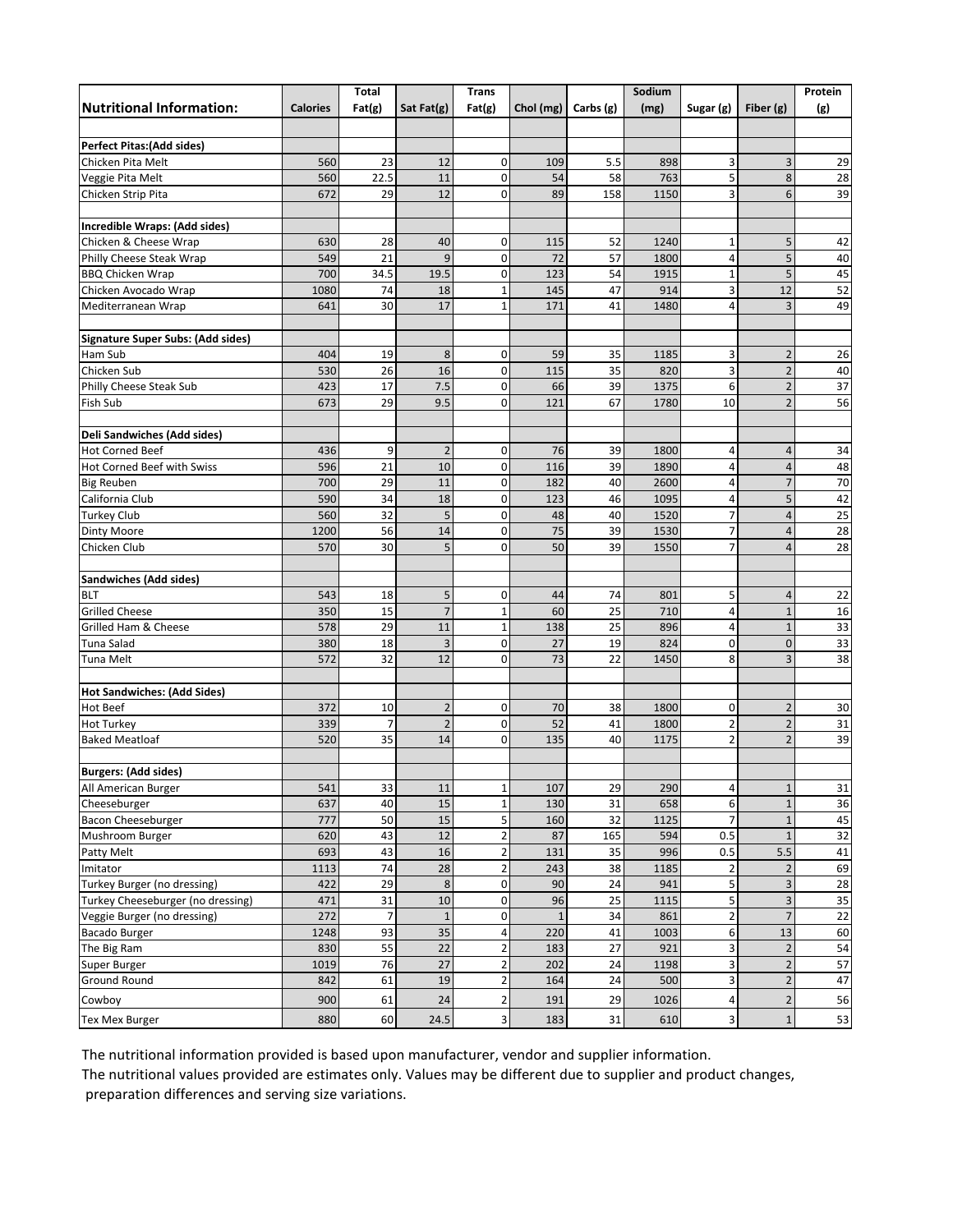|                                          |                 | Total          |                 | <b>Trans</b>            |              |             | Sodium |                         |                         | Protein |
|------------------------------------------|-----------------|----------------|-----------------|-------------------------|--------------|-------------|--------|-------------------------|-------------------------|---------|
| <b>Nutritional Information:</b>          | <b>Calories</b> | Fat(g)         | Sat Fat $(g)$   | Fat(g)                  | Chol (mg)    | Carbs $(g)$ | (mg)   | Sugar (g)               | Fiber $(g)$             | (g)     |
|                                          |                 |                |                 |                         |              |             |        |                         |                         |         |
| <b>Perfect Pitas: (Add sides)</b>        |                 |                |                 |                         |              |             |        |                         |                         |         |
| Chicken Pita Melt                        | 560             | 23             | 12              | $\mathbf 0$             | 109          | 5.5         | 898    | 3                       | 3                       | 29      |
| Veggie Pita Melt                         | 560             | 22.5           | 11              | $\mathbf 0$             | 54           | 58          | 763    | 5                       | 8                       | 28      |
| Chicken Strip Pita                       | 672             | 29             | 12              | 0                       | 89           | 158         | 1150   | 3                       | 6                       | 39      |
|                                          |                 |                |                 |                         |              |             |        |                         |                         |         |
| Incredible Wraps: (Add sides)            |                 |                |                 |                         |              |             |        |                         |                         |         |
| Chicken & Cheese Wrap                    | 630             | 28             | 40              | $\mathbf 0$             | 115          | 52          | 1240   | $\mathbf 1$             | 5                       | 42      |
| Philly Cheese Steak Wrap                 | 549             | 21             | 9               | $\mathbf 0$             | 72           | 57          | 1800   | 4                       | 5                       | 40      |
| <b>BBQ Chicken Wrap</b>                  | 700             | 34.5           | 19.5            | $\mathbf 0$             | 123          | 54          | 1915   | $\mathbf 1$             | 5                       | 45      |
| Chicken Avocado Wrap                     | 1080            | 74             | 18              | 1                       | 145          | 47          | 914    | 3                       | 12                      | 52      |
| Mediterranean Wrap                       | 641             | 30             | 17              | $\overline{1}$          | 171          | 41          | 1480   | 4                       | 3                       | 49      |
| <b>Signature Super Subs: (Add sides)</b> |                 |                |                 |                         |              |             |        |                         |                         |         |
| Ham Sub                                  | 404             | 19             | 8               | $\pmb{0}$               | 59           | 35          | 1185   | 3                       | $\overline{2}$          | 26      |
| Chicken Sub                              | 530             | 26             | 16              | $\mathbf 0$             | 115          | 35          | 820    | $\overline{\mathbf{3}}$ | $\overline{2}$          | 40      |
| Philly Cheese Steak Sub                  | 423             | 17             | 7.5             | $\mathbf 0$             | 66           | 39          | 1375   | 6                       | $\overline{\mathbf{c}}$ | 37      |
| Fish Sub                                 | 673             | 29             | 9.5             | $\mathbf 0$             | 121          | 67          | 1780   | 10                      | $\overline{2}$          | 56      |
|                                          |                 |                |                 |                         |              |             |        |                         |                         |         |
| Deli Sandwiches (Add sides)              |                 |                |                 |                         |              |             |        |                         |                         |         |
| <b>Hot Corned Beef</b>                   | 436             | 9              | $\overline{2}$  | $\mathbf 0$             | 76           | 39          | 1800   | 4                       | $\sqrt{4}$              | 34      |
| Hot Corned Beef with Swiss               | 596             | 21             | 10              | $\boldsymbol{0}$        | 116          | 39          | 1890   | 4                       | $\overline{4}$          | 48      |
| <b>Big Reuben</b>                        | 700             | 29             | 11              | $\overline{0}$          | 182          | 40          | 2600   | 4                       | $\overline{7}$          | 70      |
| California Club                          | 590             | 34             | 18              | $\mathbf 0$             | 123          | 46          | 1095   | 4                       | 5                       | 42      |
| <b>Turkey Club</b>                       | 560             | 32             | 5               | $\overline{0}$          | 48           | 40          | 1520   | $\overline{7}$          | $\overline{4}$          | 25      |
| <b>Dinty Moore</b>                       | 1200            | 56             | 14              | $\mathbf 0$             | 75           | 39          | 1530   | $\overline{7}$          | $\overline{4}$          | 28      |
| Chicken Club                             | 570             | 30             | 5               | $\overline{0}$          | 50           | 39          | 1550   | $\overline{7}$          | $\overline{4}$          | 28      |
| Sandwiches (Add sides)                   |                 |                |                 |                         |              |             |        |                         |                         |         |
| <b>BLT</b>                               | 543             | 18             | 5               | $\mathbf 0$             | 44           | 74          | 801    | 5                       | $\sqrt{4}$              | 22      |
| <b>Grilled Cheese</b>                    | 350             | 15             | $\overline{7}$  | $\overline{1}$          | 60           | 25          | 710    | 4                       | $\overline{1}$          | 16      |
| Grilled Ham & Cheese                     | 578             | 29             | 11              | $\mathbf{1}$            | 138          | 25          | 896    | 4                       | $\overline{1}$          | 33      |
| Tuna Salad                               | 380             | 18             | 3               | $\mathbf 0$             | 27           | 19          | 824    | 0                       | $\mathbf 0$             | 33      |
| Tuna Melt                                | 572             | 32             | 12              | $\overline{0}$          | 73           | 22          | 1450   | 8                       | $\overline{3}$          | 38      |
|                                          |                 |                |                 |                         |              |             |        |                         |                         |         |
| <b>Hot Sandwiches: (Add Sides)</b>       |                 |                |                 |                         |              |             |        |                         |                         |         |
| Hot Beef                                 | 372             | 10             | $\overline{2}$  | 0                       | 70           | 38          | 1800   | 0                       | $\overline{2}$          | 30      |
| <b>Hot Turkey</b>                        | 339             | $\overline{7}$ | $\overline{2}$  | $\mathbf 0$             | 52           | 41          | 1800   | $\overline{c}$          | $\overline{2}$          | 31      |
| <b>Baked Meatloaf</b>                    | 520             | 35             | 14              | 0                       | 135          | 40          | 1175   | $\overline{2}$          | $\overline{2}$          | 39      |
|                                          |                 |                |                 |                         |              |             |        |                         |                         |         |
| <b>Burgers: (Add sides)</b>              |                 |                |                 |                         |              |             |        |                         |                         |         |
| All American Burger                      | 541             | 33             | 11              | $\mathbf{1}$            | 107          | 29          | 290    | $\overline{\mathbf{r}}$ | $\mathbf{1}$            | 31      |
| Cheeseburger                             | 637             | 40             | 15              | $\mathbf 1$             | 130          | 31          | 658    | 6                       | $\mathbf{1}$            | 36      |
| Bacon Cheeseburger                       | 777             | 50             | 15              | 5                       | 160          | 32          | 1125   | 7                       | $1\,$                   | 45      |
| Mushroom Burger                          | 620             | 43             | 12              | 2                       | 87           | 165         | 594    | 0.5                     | $1\,$                   | 32      |
| Patty Melt                               | 693             | 43             | 16              | $\overline{\mathbf{c}}$ | 131          | 35          | 996    | 0.5                     | 5.5                     | 41      |
| Imitator                                 | 1113            | 74             | 28              | 2                       | 243          | 38          | 1185   | 2                       | $\overline{2}$          | 69      |
| Turkey Burger (no dressing)              | 422             | 29             | 8               | $\mathbf 0$             | 90           | 24          | 941    | 5                       | 3                       | 28      |
| Turkey Cheeseburger (no dressing)        | 471             | 31             | 10              | $\mathbf 0$             | 96           | 25          | 1115   | 5                       | 3                       | 35      |
| Veggie Burger (no dressing)              | 272             | $\overline{7}$ | $\mathbf{1}$    | 0                       | $\mathbf{1}$ | 34          | 861    | $\overline{2}$          | $\overline{7}$          | 22      |
| <b>Bacado Burger</b>                     | 1248            | 93             | 35              | 4                       | 220          | 41          | 1003   | 6                       | 13                      | 60      |
| The Big Ram                              | 830             | 55             | $\overline{22}$ | 2                       | 183          | 27          | 921    | 3                       | $\overline{2}$          | 54      |
| Super Burger                             | 1019            | 76             | 27              | $\overline{\mathbf{c}}$ | 202          | 24          | 1198   | 3                       | $\overline{2}$          | 57      |
| Ground Round                             | 842             | 61             | 19              | 2                       | 164          | 24          | 500    | 3                       | $\overline{2}$          | 47      |
| Cowboy                                   | 900             | 61             | 24              | $\overline{\mathbf{c}}$ | 191          | 29          | 1026   | 4                       | $\mathbf 2$             | 56      |
| Tex Mex Burger                           | 880             | 60             | 24.5            | 3                       | 183          | 31          | 610    | 3                       | $\mathbf 1$             | 53      |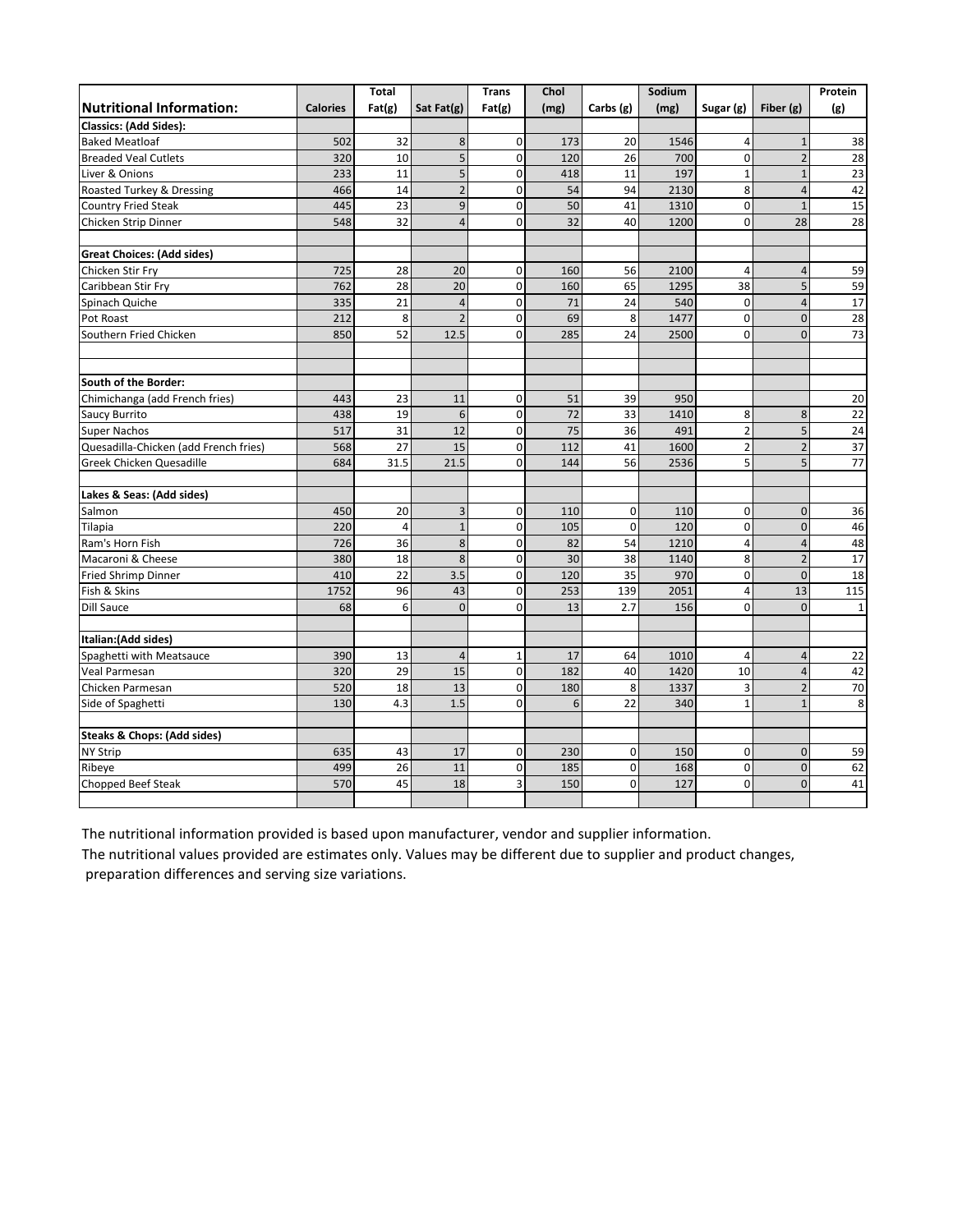|                                        |                 | <b>Total</b>    |                | <b>Trans</b>   | Chol |              | Sodium |                |                | Protein         |
|----------------------------------------|-----------------|-----------------|----------------|----------------|------|--------------|--------|----------------|----------------|-----------------|
| <b>Nutritional Information:</b>        | <b>Calories</b> | Fat(g)          | Sat Fat(g)     | Fat(g)         | (mg) | Carbs (g)    | (mg)   | Sugar (g)      | Fiber (g)      | (g)             |
| <b>Classics: (Add Sides):</b>          |                 |                 |                |                |      |              |        |                |                |                 |
| <b>Baked Meatloaf</b>                  | 502             | 32              | $\bf 8$        | $\mathbf 0$    | 173  | 20           | 1546   | 4              | $\mathbf{1}$   | 38              |
| <b>Breaded Veal Cutlets</b>            | 320             | 10              | 5              | $\mathbf 0$    | 120  | 26           | 700    | $\mathbf 0$    | $\overline{c}$ | 28              |
| Liver & Onions                         | 233             | 11              | 5              | $\mathbf 0$    | 418  | 11           | 197    | $\mathbf 1$    | $\mathbf{1}$   | 23              |
| Roasted Turkey & Dressing              | 466             | 14              | $\mathbf 2$    | $\mathbf 0$    | 54   | 94           | 2130   | 8              | $\overline{4}$ | 42              |
| <b>Country Fried Steak</b>             | 445             | 23              | 9              | $\Omega$       | 50   | 41           | 1310   | $\Omega$       | $\mathbf{1}$   | 15              |
| Chicken Strip Dinner                   | 548             | 32              | $\overline{4}$ | $\mathbf 0$    | 32   | 40           | 1200   | $\mathbf 0$    | 28             | 28              |
| <b>Great Choices: (Add sides)</b>      |                 |                 |                |                |      |              |        |                |                |                 |
| Chicken Stir Fry                       | 725             | 28              | 20             | $\mathbf 0$    | 160  | 56           | 2100   | $\overline{4}$ | $\overline{4}$ | 59              |
| Caribbean Stir Fry                     | 762             | 28              | 20             | $\Omega$       | 160  | 65           | 1295   | 38             | 5              | 59              |
| Spinach Quiche                         | 335             | $\overline{21}$ | $\overline{4}$ | $\mathbf 0$    | 71   | 24           | 540    | $\pmb{0}$      | $\overline{4}$ | $\overline{17}$ |
| Pot Roast                              | 212             | 8               | $\overline{2}$ | $\Omega$       | 69   | 8            | 1477   | $\pmb{0}$      | $\mathbf 0$    | 28              |
| Southern Fried Chicken                 | 850             | 52              | 12.5           | $\Omega$       | 285  | 24           | 2500   | $\Omega$       | $\Omega$       | $\overline{73}$ |
| South of the Border:                   |                 |                 |                |                |      |              |        |                |                |                 |
| Chimichanga (add French fries)         | 443             | 23              | 11             | $\mathbf 0$    | 51   | 39           | 950    |                |                | 20              |
| Saucy Burrito                          | 438             | 19              | 6              | $\Omega$       | 72   | 33           | 1410   | 8              | 8              | 22              |
| <b>Super Nachos</b>                    | 517             | 31              | 12             | $\mathbf 0$    | 75   | 36           | 491    | $\overline{2}$ | 5              | 24              |
| Quesadilla-Chicken (add French fries)  | 568             | 27              | 15             | $\mathbf 0$    | 112  | 41           | 1600   | $\overline{2}$ | $\overline{2}$ | $\overline{37}$ |
| Greek Chicken Quesadille               | 684             | 31.5            | 21.5           | $\Omega$       | 144  | 56           | 2536   | 5              | 5              | 77              |
| Lakes & Seas: (Add sides)              |                 |                 |                |                |      |              |        |                |                |                 |
| Salmon                                 | 450             | 20              | 3              | $\Omega$       | 110  | $\mathbf{0}$ | 110    | $\Omega$       | $\mathbf 0$    | 36              |
| Tilapia                                | 220             | $\overline{4}$  | $\mathbf{1}$   | $\mathbf 0$    | 105  | $\mathbf 0$  | 120    | $\mathbf 0$    | $\mathbf 0$    | 46              |
| Ram's Horn Fish                        | 726             | 36              | 8              | $\mathbf 0$    | 82   | 54           | 1210   | 4              | $\overline{4}$ | 48              |
| Macaroni & Cheese                      | 380             | 18              | 8              | $\Omega$       | 30   | 38           | 1140   | 8              | $\overline{2}$ | 17              |
| <b>Fried Shrimp Dinner</b>             | 410             | 22              | 3.5            | $\mathbf 0$    | 120  | 35           | 970    | $\mathbf 0$    | $\mathbf{0}$   | 18              |
| Fish & Skins                           | 1752            | 96              | 43             | $\Omega$       | 253  | 139          | 2051   | $\overline{4}$ | 13             | 115             |
| <b>Dill Sauce</b>                      | 68              | 6               | $\mathbf{0}$   | $\Omega$       | 13   | 2.7          | 156    | 0              | $\overline{0}$ | $\mathbf 1$     |
| Italian: (Add sides)                   |                 |                 |                |                |      |              |        |                |                |                 |
| Spaghetti with Meatsauce               | 390             | 13              | $\overline{4}$ | $\mathbf{1}$   | 17   | 64           | 1010   | 4              | $\overline{4}$ | 22              |
| Veal Parmesan                          | 320             | 29              | 15             | $\mathbf 0$    | 182  | 40           | 1420   | 10             | $\overline{4}$ | 42              |
| Chicken Parmesan                       | 520             | 18              | 13             | $\Omega$       | 180  | 8            | 1337   | 3              | $\overline{2}$ | $70\,$          |
| Side of Spaghetti                      | 130             | 4.3             | 1.5            | $\Omega$       | 6    | 22           | 340    | $\mathbf{1}$   | $\mathbf{1}$   | 8               |
| <b>Steaks &amp; Chops: (Add sides)</b> |                 |                 |                |                |      |              |        |                |                |                 |
| <b>NY Strip</b>                        | 635             | 43              | 17             | $\mathbf 0$    | 230  | $\mathbf 0$  | 150    | $\mathbf 0$    | $\mathbf 0$    | 59              |
| Ribeye                                 | 499             | 26              | 11             | $\mathbf 0$    | 185  | $\mathbf 0$  | 168    | $\Omega$       | $\Omega$       | 62              |
| Chopped Beef Steak                     | 570             | 45              | 18             | $\overline{3}$ | 150  | $\mathbf 0$  | 127    | $\mathbf 0$    | $\Omega$       | 41              |